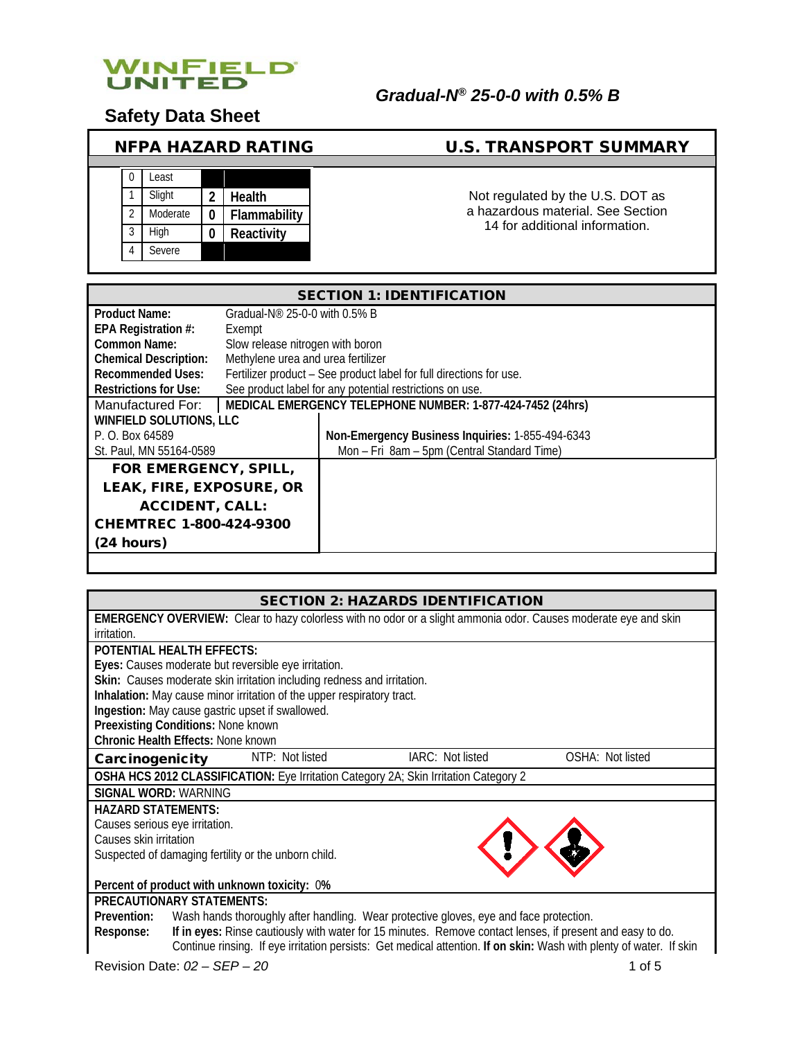

**Safety Data Sheet**

# NFPA HAZARD RATING U.S. TRANSPORT SUMMARY

|                | Least    |   |              |
|----------------|----------|---|--------------|
|                | Slight   | 2 | Health       |
| $\mathfrak{D}$ | Moderate |   | Flammability |
| 3              | High     |   | Reactivity   |
|                | Severe   |   |              |

Not regulated by the U.S. DOT as a hazardous material. See Section 14 for additional information.

| <b>SECTION 1: IDENTIFICATION</b>                      |                                    |                                                                     |  |
|-------------------------------------------------------|------------------------------------|---------------------------------------------------------------------|--|
| <b>Product Name:</b><br>Gradual-N® 25-0-0 with 0.5% B |                                    |                                                                     |  |
| EPA Registration #:                                   | Exempt                             |                                                                     |  |
| <b>Common Name:</b>                                   | Slow release nitrogen with boron   |                                                                     |  |
| <b>Chemical Description:</b>                          | Methylene urea and urea fertilizer |                                                                     |  |
| <b>Recommended Uses:</b>                              |                                    | Fertilizer product - See product label for full directions for use. |  |
| <b>Restrictions for Use:</b>                          |                                    | See product label for any potential restrictions on use.            |  |
| Manufactured For:                                     |                                    | MEDICAL EMERGENCY TELEPHONE NUMBER: 1-877-424-7452 (24hrs)          |  |
| <b>WINFIELD SOLUTIONS, LLC</b>                        |                                    |                                                                     |  |
| P. O. Box 64589                                       |                                    | Non-Emergency Business Inquiries: 1-855-494-6343                    |  |
| St. Paul, MN 55164-0589                               |                                    | Mon - Fri 8am - 5pm (Central Standard Time)                         |  |
| FOR EMERGENCY, SPILL,                                 |                                    |                                                                     |  |
| LEAK, FIRE, EXPOSURE, OR                              |                                    |                                                                     |  |
| <b>ACCIDENT, CALL:</b>                                |                                    |                                                                     |  |
| <b>CHEMTREC 1-800-424-9300</b>                        |                                    |                                                                     |  |
| (24 hours)                                            |                                    |                                                                     |  |
|                                                       |                                    |                                                                     |  |

| <b>SECTION 2: HAZARDS IDENTIFICATION</b>                                                                               |  |  |  |
|------------------------------------------------------------------------------------------------------------------------|--|--|--|
| <b>EMERGENCY OVERVIEW:</b> Clear to hazy colorless with no odor or a slight ammonia odor. Causes moderate eye and skin |  |  |  |
| irritation.                                                                                                            |  |  |  |
| <b>POTENTIAL HEALTH EFFECTS:</b>                                                                                       |  |  |  |
| Eyes: Causes moderate but reversible eye irritation.                                                                   |  |  |  |
| Skin: Causes moderate skin irritation including redness and irritation.                                                |  |  |  |
| Inhalation: May cause minor irritation of the upper respiratory tract.                                                 |  |  |  |
| Ingestion: May cause gastric upset if swallowed.                                                                       |  |  |  |
| Preexisting Conditions: None known                                                                                     |  |  |  |
| <b>Chronic Health Effects: None known</b>                                                                              |  |  |  |
| IARC: Not listed<br>NTP: Not listed<br>OSHA: Not listed<br>Carcinogenicity                                             |  |  |  |
| OSHA HCS 2012 CLASSIFICATION: Eye Irritation Category 2A; Skin Irritation Category 2                                   |  |  |  |
| <b>SIGNAL WORD: WARNING</b>                                                                                            |  |  |  |
| <b>HAZARD STATEMENTS:</b>                                                                                              |  |  |  |
| Causes serious eye irritation.                                                                                         |  |  |  |
| Causes skin irritation                                                                                                 |  |  |  |
| Suspected of damaging fertility or the unborn child.                                                                   |  |  |  |
|                                                                                                                        |  |  |  |
| Percent of product with unknown toxicity: 0%                                                                           |  |  |  |
| <b>PRECAUTIONARY STATEMENTS:</b>                                                                                       |  |  |  |
| Wash hands thoroughly after handling. Wear protective gloves, eye and face protection.<br>Prevention:                  |  |  |  |
| If in eyes: Rinse cautiously with water for 15 minutes. Remove contact lenses, if present and easy to do.<br>Response: |  |  |  |
| Continue rinsing. If eye irritation persists: Get medical attention. If on skin: Wash with plenty of water. If skin    |  |  |  |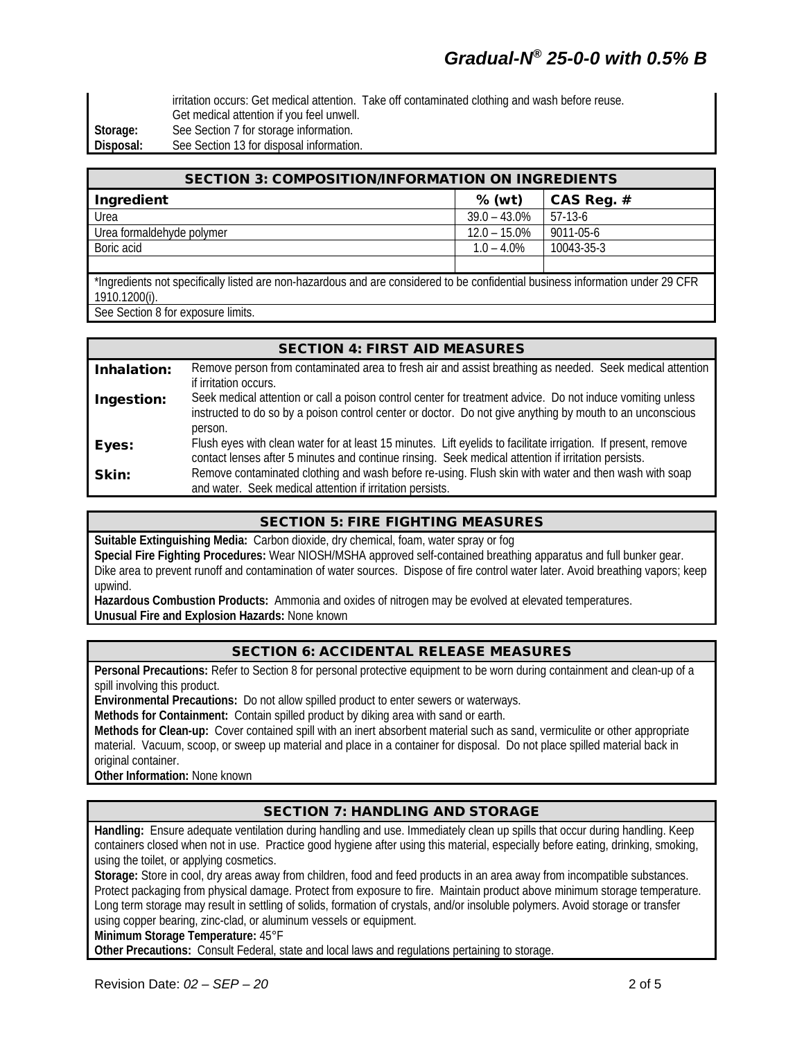irritation occurs: Get medical attention. Take off contaminated clothing and wash before reuse. Get medical attention if you feel unwell. **Storage:** See Section 7 for storage information. **Disposal:** See Section 13 for disposal information.

| <b>SECTION 3: COMPOSITION/INFORMATION ON INGREDIENTS</b>                                                                              |                 |              |  |
|---------------------------------------------------------------------------------------------------------------------------------------|-----------------|--------------|--|
| Ingredient                                                                                                                            | $%$ (wt)        | CAS Reg. $#$ |  |
| Urea                                                                                                                                  | $39.0 - 43.0\%$ | 57-13-6      |  |
| Urea formaldehyde polymer                                                                                                             | $12.0 - 15.0\%$ | 9011-05-6    |  |
| Boric acid                                                                                                                            | $1.0 - 4.0\%$   | 10043-35-3   |  |
|                                                                                                                                       |                 |              |  |
| . OPD مطرحين مطلوعين وكالمتحين الطباط الطلوع المعامل المتحاجات والمستحدث والمصطرح ومعرضه الملطان الموثلا والمتحام والمستخلف والمستخلة |                 |              |  |

\*Ingredients not specifically listed are non-hazardous and are considered to be confidential business information under 29 CFR 1910.1200(i).

See Section 8 for exposure limits.

#### SECTION 4: FIRST AID MEASURES Inhalation: Remove person from contaminated area to fresh air and assist breathing as needed. Seek medical attention if irritation occurs. **Ingestion:** Seek medical attention or call a poison control center for treatment advice. Do not induce vomiting unless instructed to do so by a poison control center or doctor. Do not give anything by mouth to an unconscious person. Eyes: Flush eyes with clean water for at least 15 minutes. Lift eyelids to facilitate irrigation. If present, remove contact lenses after 5 minutes and continue rinsing. Seek medical attention if irritation persists. **Skin:** Remove contaminated clothing and wash before re-using. Flush skin with water and then wash with soap and water. Seek medical attention if irritation persists.

## SECTION 5: FIRE FIGHTING MEASURES

**Suitable Extinguishing Media:** Carbon dioxide, dry chemical, foam, water spray or fog **Special Fire Fighting Procedures:** Wear NIOSH/MSHA approved self-contained breathing apparatus and full bunker gear. Dike area to prevent runoff and contamination of water sources. Dispose of fire control water later. Avoid breathing vapors; keep upwind.

**Hazardous Combustion Products:** Ammonia and oxides of nitrogen may be evolved at elevated temperatures. **Unusual Fire and Explosion Hazards:** None known

## SECTION 6: ACCIDENTAL RELEASE MEASURES

**Personal Precautions:** Refer to Section 8 for personal protective equipment to be worn during containment and clean-up of a spill involving this product.

**Environmental Precautions:** Do not allow spilled product to enter sewers or waterways.

**Methods for Containment:** Contain spilled product by diking area with sand or earth.

**Methods for Clean-up:** Cover contained spill with an inert absorbent material such as sand, vermiculite or other appropriate material. Vacuum, scoop, or sweep up material and place in a container for disposal. Do not place spilled material back in original container.

**Other Information:** None known

## SECTION 7: HANDLING AND STORAGE

**Handling:** Ensure adequate ventilation during handling and use. Immediately clean up spills that occur during handling. Keep containers closed when not in use. Practice good hygiene after using this material, especially before eating, drinking, smoking, using the toilet, or applying cosmetics.

**Storage:** Store in cool, dry areas away from children, food and feed products in an area away from incompatible substances. Protect packaging from physical damage. Protect from exposure to fire. Maintain product above minimum storage temperature. Long term storage may result in settling of solids, formation of crystals, and/or insoluble polymers. Avoid storage or transfer using copper bearing, zinc-clad, or aluminum vessels or equipment.

**Minimum Storage Temperature:** 45°F

**Other Precautions:** Consult Federal, state and local laws and regulations pertaining to storage.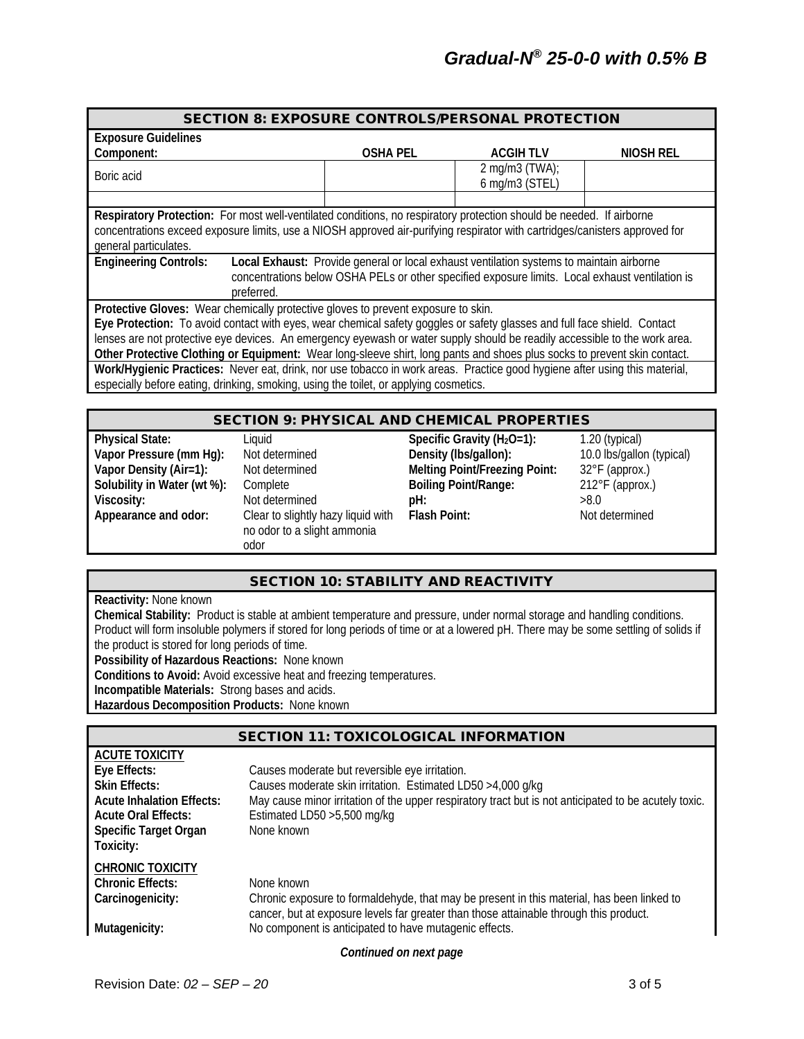| <b>SECTION 8: EXPOSURE CONTROLS/PERSONAL PROTECTION</b>                                                                                                                                                                                                                      |                 |                                                                                                                                                                                             |           |
|------------------------------------------------------------------------------------------------------------------------------------------------------------------------------------------------------------------------------------------------------------------------------|-----------------|---------------------------------------------------------------------------------------------------------------------------------------------------------------------------------------------|-----------|
| <b>Exposure Guidelines</b>                                                                                                                                                                                                                                                   |                 |                                                                                                                                                                                             |           |
| Component:                                                                                                                                                                                                                                                                   | <b>OSHA PEL</b> | <b>ACGIHTLV</b>                                                                                                                                                                             | NIOSH REL |
| Boric acid                                                                                                                                                                                                                                                                   |                 | 2 mg/m $3$ (TWA);<br>6 mg/m3 (STEL)                                                                                                                                                         |           |
|                                                                                                                                                                                                                                                                              |                 |                                                                                                                                                                                             |           |
| Respiratory Protection: For most well-ventilated conditions, no respiratory protection should be needed. If airborne<br>concentrations exceed exposure limits, use a NIOSH approved air-purifying respirator with cartridges/canisters approved for<br>general particulates. |                 |                                                                                                                                                                                             |           |
| <b>Engineering Controls:</b>                                                                                                                                                                                                                                                 |                 | Local Exhaust: Provide general or local exhaust ventilation systems to maintain airborne<br>concentrations below OSHA PELs or other specified exposure limits. Local exhaust ventilation is |           |
| preferred.                                                                                                                                                                                                                                                                   |                 |                                                                                                                                                                                             |           |
| Protective Gloves: Wear chemically protective gloves to prevent exposure to skin.                                                                                                                                                                                            |                 |                                                                                                                                                                                             |           |
| Eye Protection: To avoid contact with eyes, wear chemical safety goggles or safety glasses and full face shield. Contact                                                                                                                                                     |                 |                                                                                                                                                                                             |           |
| lenses are not protective eye devices. An emergency eyewash or water supply should be readily accessible to the work area.                                                                                                                                                   |                 |                                                                                                                                                                                             |           |
| Other Protective Clothing or Equipment: Wear long-sleeve shirt, long pants and shoes plus socks to prevent skin contact.                                                                                                                                                     |                 |                                                                                                                                                                                             |           |
| Work/Hygienic Practices: Never eat, drink, nor use tobacco in work areas. Practice good hygiene after using this material,                                                                                                                                                   |                 |                                                                                                                                                                                             |           |
| especially before eating, drinking, smoking, using the toilet, or applying cosmetics.                                                                                                                                                                                        |                 |                                                                                                                                                                                             |           |
|                                                                                                                                                                                                                                                                              |                 |                                                                                                                                                                                             |           |
|                                                                                                                                                                                                                                                                              |                 |                                                                                                                                                                                             |           |

| <b>SECTION 9: PHYSICAL AND CHEMICAL PROPERTIES</b> |                                                                           |                                      |                           |
|----------------------------------------------------|---------------------------------------------------------------------------|--------------------------------------|---------------------------|
| <b>Physical State:</b>                             | Liauid                                                                    | Specific Gravity ( $H_2O=1$ ):       | $1.20$ (typical)          |
| Vapor Pressure (mm Hg):                            | Not determined                                                            | Density (Ibs/gallon):                | 10.0 lbs/gallon (typical) |
| Vapor Density (Air=1):                             | Not determined                                                            | <b>Melting Point/Freezing Point:</b> | 32°F (approx.)            |
| Solubility in Water (wt %):                        | Complete                                                                  | <b>Boiling Point/Range:</b>          | $212^{\circ}$ F (approx.) |
| Viscosity:                                         | Not determined                                                            | pH:                                  | >8.0                      |
| Appearance and odor:                               | Clear to slightly hazy liquid with<br>no odor to a slight ammonia<br>odor | <b>Flash Point:</b>                  | Not determined            |

## SECTION 10: STABILITY AND REACTIVITY

**Reactivity:** None known

**Chemical Stability:** Product is stable at ambient temperature and pressure, under normal storage and handling conditions. Product will form insoluble polymers if stored for long periods of time or at a lowered pH. There may be some settling of solids if the product is stored for long periods of time.

**Possibility of Hazardous Reactions:** None known

**Conditions to Avoid:** Avoid excessive heat and freezing temperatures.

**Incompatible Materials:** Strong bases and acids.

**Hazardous Decomposition Products:** None known

## SECTION 11: TOXICOLOGICAL INFORMATION

| <b>ACUTE TOXICITY</b>            |                                                                                                       |
|----------------------------------|-------------------------------------------------------------------------------------------------------|
| Eye Effects:                     | Causes moderate but reversible eye irritation.                                                        |
| <b>Skin Effects:</b>             | Causes moderate skin irritation. Estimated LD50 >4,000 g/kg                                           |
| <b>Acute Inhalation Effects:</b> | May cause minor irritation of the upper respiratory tract but is not anticipated to be acutely toxic. |
| <b>Acute Oral Effects:</b>       | Estimated LD50 > 5,500 mg/kg                                                                          |
| <b>Specific Target Organ</b>     | None known                                                                                            |
| Toxicity:                        |                                                                                                       |
| <b>CHRONIC TOXICITY</b>          |                                                                                                       |
| <b>Chronic Effects:</b>          | None known                                                                                            |
| Carcinogenicity:                 | Chronic exposure to formaldehyde, that may be present in this material, has been linked to            |
|                                  | cancer, but at exposure levels far greater than those attainable through this product.                |
| Mutagenicity:                    | No component is anticipated to have mutagenic effects.                                                |
|                                  | .                                                                                                     |

*Continued on next page*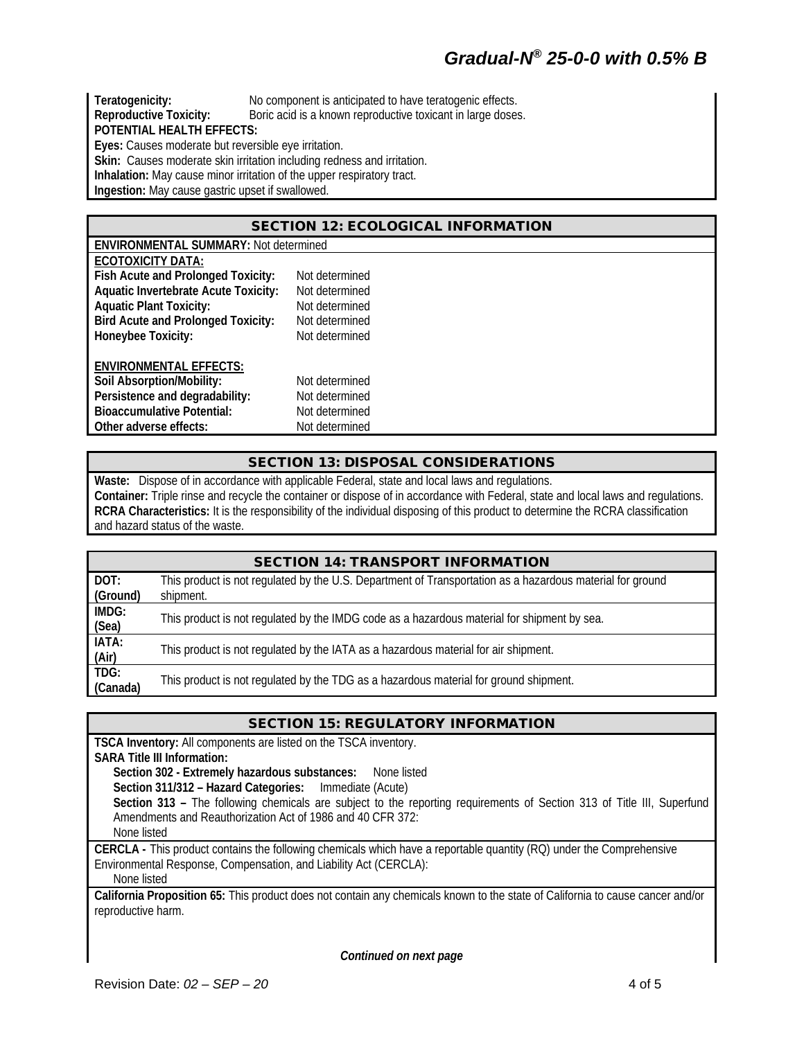# *Gradual-N® 25-0-0 with 0.5% B*

**Teratogenicity:** No component is anticipated to have teratogenic effects.<br> **Reproductive Toxicity:** Boric acid is a known reproductive toxicant in large doses Boric acid is a known reproductive toxicant in large doses. **POTENTIAL HEALTH EFFECTS: Eyes:** Causes moderate but reversible eye irritation. Skin: Causes moderate skin irritation including redness and irritation. **Inhalation:** May cause minor irritation of the upper respiratory tract.

**Ingestion:** May cause gastric upset if swallowed.

#### SECTION 12: ECOLOGICAL INFORMATION

| <b>ENVIRONMENTAL SUMMARY: Not determined</b> |                |  |  |  |
|----------------------------------------------|----------------|--|--|--|
| <b>ECOTOXICITY DATA:</b>                     |                |  |  |  |
| Fish Acute and Prolonged Toxicity:           | Not determined |  |  |  |
| <b>Aquatic Invertebrate Acute Toxicity:</b>  | Not determined |  |  |  |
| <b>Aquatic Plant Toxicity:</b>               | Not determined |  |  |  |
| <b>Bird Acute and Prolonged Toxicity:</b>    | Not determined |  |  |  |
| Honeybee Toxicity:                           | Not determined |  |  |  |
| <b>ENVIRONMENTAL EFFECTS:</b>                |                |  |  |  |
| Soil Absorption/Mobility:                    | Not determined |  |  |  |
| Persistence and degradability:               | Not determined |  |  |  |
| <b>Bioaccumulative Potential:</b>            | Not determined |  |  |  |
| Other adverse effects:<br>Not determined     |                |  |  |  |

#### SECTION 13: DISPOSAL CONSIDERATIONS

**Waste:** Dispose of in accordance with applicable Federal, state and local laws and regulations. **Container:** Triple rinse and recycle the container or dispose of in accordance with Federal, state and local laws and regulations. **RCRA Characteristics:** It is the responsibility of the individual disposing of this product to determine the RCRA classification and hazard status of the waste.

| <b>SECTION 14: TRANSPORT INFORMATION</b> |                                                                                                                        |  |  |
|------------------------------------------|------------------------------------------------------------------------------------------------------------------------|--|--|
| DOT:<br>(Ground)                         | This product is not regulated by the U.S. Department of Transportation as a hazardous material for ground<br>shipment. |  |  |
| IMDG:<br>(Sea)                           | This product is not regulated by the IMDG code as a hazardous material for shipment by sea.                            |  |  |
| IATA:<br>(Air)                           | This product is not regulated by the IATA as a hazardous material for air shipment.                                    |  |  |
| TDG:<br>(Canada)                         | This product is not regulated by the TDG as a hazardous material for ground shipment.                                  |  |  |

#### SECTION 15: REGULATORY INFORMATION

**TSCA Inventory:** All components are listed on the TSCA inventory. **SARA Title III Information: Section 302 - Extremely hazardous substances:** None listed **Section 311/312 – Hazard Categories:** Immediate (Acute) **Section 313 –** The following chemicals are subject to the reporting requirements of Section 313 of Title III, Superfund Amendments and Reauthorization Act of 1986 and 40 CFR 372: None listed **CERCLA -** This product contains the following chemicals which have a reportable quantity (RQ) under the Comprehensive Environmental Response, Compensation, and Liability Act (CERCLA): None listed **California Proposition 65:** This product does not contain any chemicals known to the state of California to cause cancer and/or

reproductive harm.